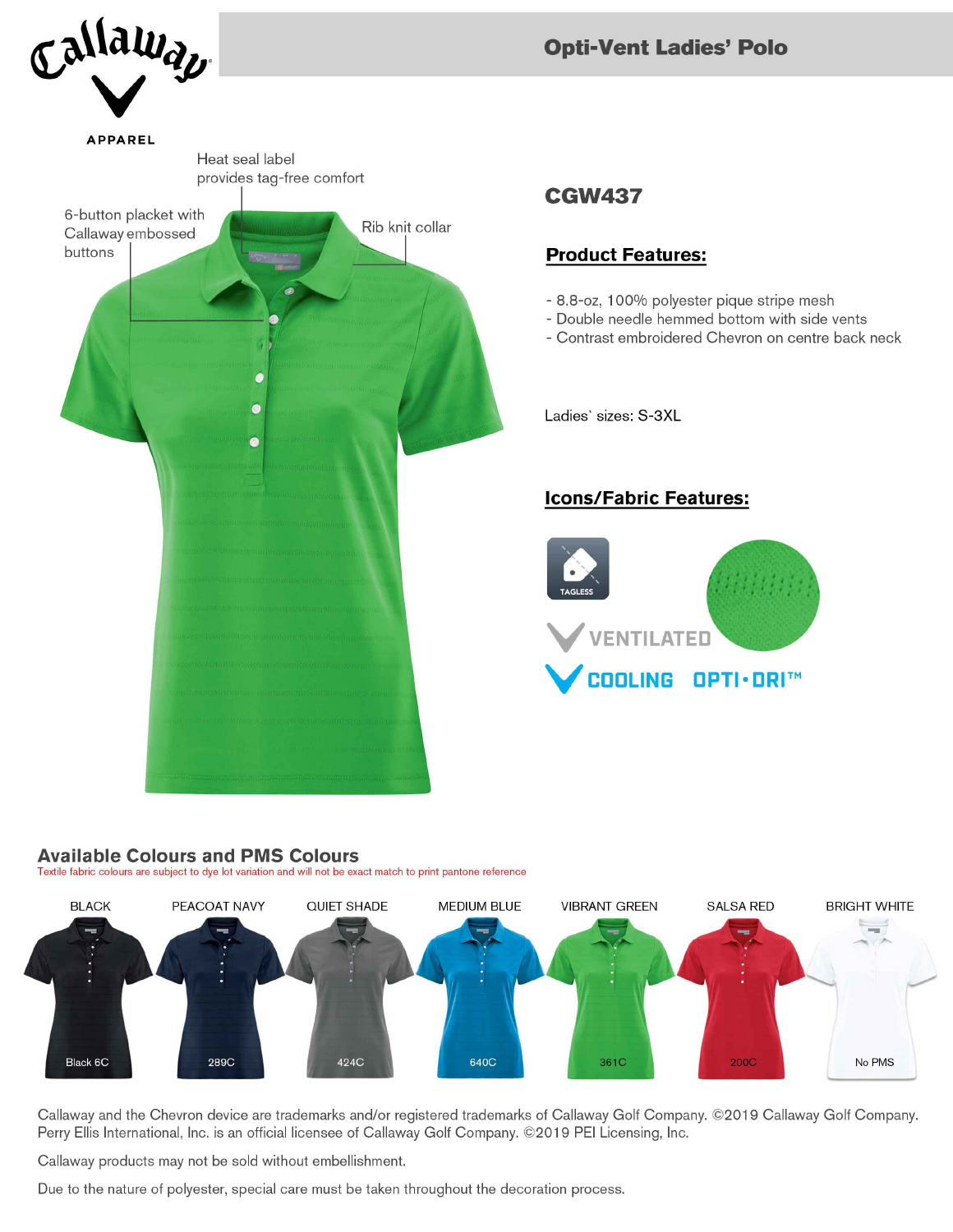

# **Opti-Vent Ladies' Polo**

# **CGW437**

### **Product Features:**

- 8.8-oz, 100% polyester pique stripe mesh
- Double needle hemmed bottom with side vents
- Contrast embroidered Chevron on centre back neck

Ladies' sizes: S-3XL

## **Icons/Fabric Features:**



#### **Available Colours and PMS Colours**

Textile fabric colours are subject to dye lot variation and will not be exact match to print pantone reference



Callaway and the Chevron device are trademarks and/or registered trademarks of Callaway Golf Company. ©2019 Callaway Golf Company. Perry Ellis International, Inc. is an official licensee of Callaway Golf Company. ©2019 PEI Licensing, Inc.

Callaway products may not be sold without embellishment.

Due to the nature of polyester, special care must be taken throughout the decoration process.